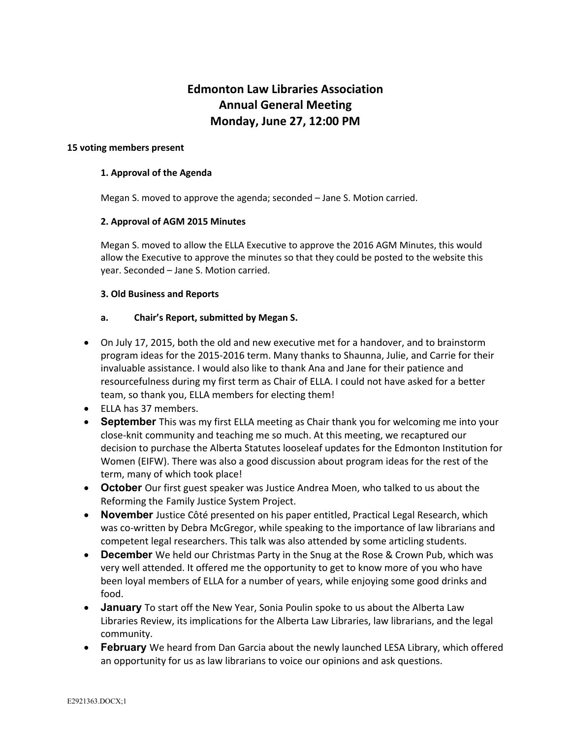# **Edmonton Law Libraries Association Annual General Meeting Monday, June 27, 12:00 PM**

#### **15 voting members present**

### **1. Approval of the Agenda**

Megan S. moved to approve the agenda; seconded – Jane S. Motion carried.

#### **2. Approval of AGM 2015 Minutes**

Megan S. moved to allow the ELLA Executive to approve the 2016 AGM Minutes, this would allow the Executive to approve the minutes so that they could be posted to the website this year. Seconded – Jane S. Motion carried.

#### **3. Old Business and Reports**

# **a. Chair's Report, submitted by Megan S.**

- On July 17, 2015, both the old and new executive met for a handover, and to brainstorm program ideas for the 2015-2016 term. Many thanks to Shaunna, Julie, and Carrie for their invaluable assistance. I would also like to thank Ana and Jane for their patience and resourcefulness during my first term as Chair of ELLA. I could not have asked for a better team, so thank you, ELLA members for electing them!
- ELLA has 37 members.
- **September** This was my first ELLA meeting as Chair thank you for welcoming me into your close-knit community and teaching me so much. At this meeting, we recaptured our decision to purchase the Alberta Statutes looseleaf updates for the Edmonton Institution for Women (EIFW). There was also a good discussion about program ideas for the rest of the term, many of which took place!
- **October** Our first guest speaker was Justice Andrea Moen, who talked to us about the Reforming the Family Justice System Project.
- **November** Justice Côté presented on his paper entitled, Practical Legal Research, which was co-written by Debra McGregor, while speaking to the importance of law librarians and competent legal researchers. This talk was also attended by some articling students.
- **December** We held our Christmas Party in the Snug at the Rose & Crown Pub, which was very well attended. It offered me the opportunity to get to know more of you who have been loyal members of ELLA for a number of years, while enjoying some good drinks and food.
- **January** To start off the New Year, Sonia Poulin spoke to us about the Alberta Law Libraries Review, its implications for the Alberta Law Libraries, law librarians, and the legal community.
- **February** We heard from Dan Garcia about the newly launched LESA Library, which offered an opportunity for us as law librarians to voice our opinions and ask questions.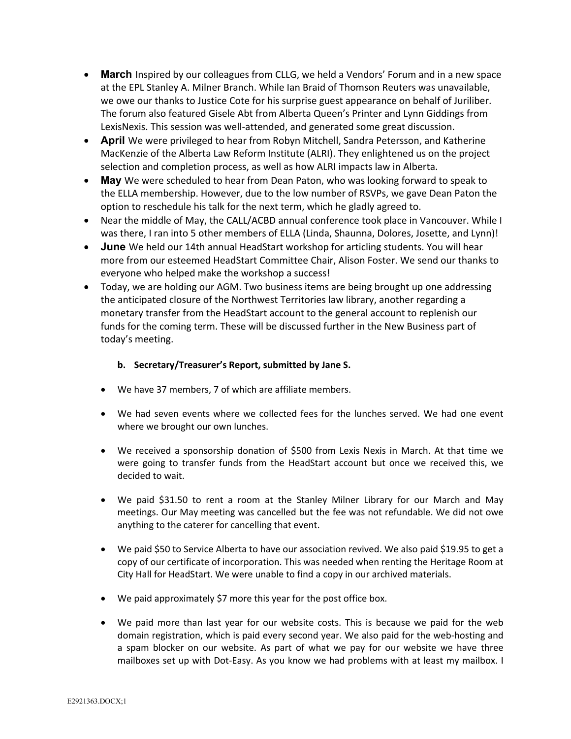- **March** Inspired by our colleagues from CLLG, we held a Vendors' Forum and in a new space at the EPL Stanley A. Milner Branch. While Ian Braid of Thomson Reuters was unavailable, we owe our thanks to Justice Cote for his surprise guest appearance on behalf of Juriliber. The forum also featured Gisele Abt from Alberta Queen's Printer and Lynn Giddings from LexisNexis. This session was well-attended, and generated some great discussion.
- **April** We were privileged to hear from Robyn Mitchell, Sandra Petersson, and Katherine MacKenzie of the Alberta Law Reform Institute (ALRI). They enlightened us on the project selection and completion process, as well as how ALRI impacts law in Alberta.
- **May** We were scheduled to hear from Dean Paton, who was looking forward to speak to the ELLA membership. However, due to the low number of RSVPs, we gave Dean Paton the option to reschedule his talk for the next term, which he gladly agreed to.
- Near the middle of May, the CALL/ACBD annual conference took place in Vancouver. While I was there, I ran into 5 other members of ELLA (Linda, Shaunna, Dolores, Josette, and Lynn)!
- **June** We held our 14th annual HeadStart workshop for articling students. You will hear more from our esteemed HeadStart Committee Chair, Alison Foster. We send our thanks to everyone who helped make the workshop a success!
- Today, we are holding our AGM. Two business items are being brought up one addressing the anticipated closure of the Northwest Territories law library, another regarding a monetary transfer from the HeadStart account to the general account to replenish our funds for the coming term. These will be discussed further in the New Business part of today's meeting.

# **b. Secretary/Treasurer's Report, submitted by Jane S.**

- We have 37 members, 7 of which are affiliate members.
- We had seven events where we collected fees for the lunches served. We had one event where we brought our own lunches.
- We received a sponsorship donation of \$500 from Lexis Nexis in March. At that time we were going to transfer funds from the HeadStart account but once we received this, we decided to wait.
- We paid \$31.50 to rent a room at the Stanley Milner Library for our March and May meetings. Our May meeting was cancelled but the fee was not refundable. We did not owe anything to the caterer for cancelling that event.
- We paid \$50 to Service Alberta to have our association revived. We also paid \$19.95 to get a copy of our certificate of incorporation. This was needed when renting the Heritage Room at City Hall for HeadStart. We were unable to find a copy in our archived materials.
- We paid approximately \$7 more this year for the post office box.
- We paid more than last year for our website costs. This is because we paid for the web domain registration, which is paid every second year. We also paid for the web-hosting and a spam blocker on our website. As part of what we pay for our website we have three mailboxes set up with Dot-Easy. As you know we had problems with at least my mailbox. I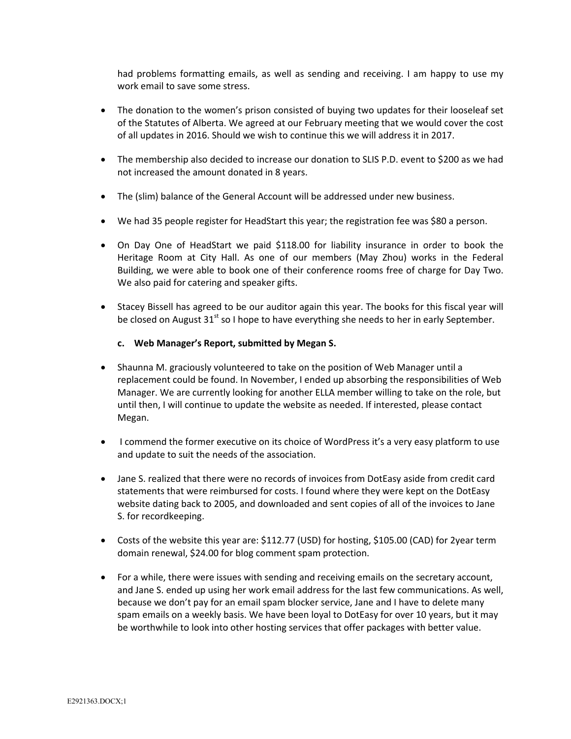had problems formatting emails, as well as sending and receiving. I am happy to use my work email to save some stress.

- The donation to the women's prison consisted of buying two updates for their looseleaf set of the Statutes of Alberta. We agreed at our February meeting that we would cover the cost of all updates in 2016. Should we wish to continue this we will address it in 2017.
- The membership also decided to increase our donation to SLIS P.D. event to \$200 as we had not increased the amount donated in 8 years.
- The (slim) balance of the General Account will be addressed under new business.
- We had 35 people register for HeadStart this year; the registration fee was \$80 a person.
- On Day One of HeadStart we paid \$118.00 for liability insurance in order to book the Heritage Room at City Hall. As one of our members (May Zhou) works in the Federal Building, we were able to book one of their conference rooms free of charge for Day Two. We also paid for catering and speaker gifts.
- Stacey Bissell has agreed to be our auditor again this year. The books for this fiscal year will be closed on August  $31<sup>st</sup>$  so I hope to have everything she needs to her in early September.

#### **c. Web Manager's Report, submitted by Megan S.**

- Shaunna M. graciously volunteered to take on the position of Web Manager until a replacement could be found. In November, I ended up absorbing the responsibilities of Web Manager. We are currently looking for another ELLA member willing to take on the role, but until then, I will continue to update the website as needed. If interested, please contact Megan.
- I commend the former executive on its choice of WordPress it's a very easy platform to use and update to suit the needs of the association.
- Jane S. realized that there were no records of invoices from DotEasy aside from credit card statements that were reimbursed for costs. I found where they were kept on the DotEasy website dating back to 2005, and downloaded and sent copies of all of the invoices to Jane S. for recordkeeping.
- Costs of the website this year are: \$112.77 (USD) for hosting, \$105.00 (CAD) for 2year term domain renewal, \$24.00 for blog comment spam protection.
- For a while, there were issues with sending and receiving emails on the secretary account, and Jane S. ended up using her work email address for the last few communications. As well, because we don't pay for an email spam blocker service, Jane and I have to delete many spam emails on a weekly basis. We have been loyal to DotEasy for over 10 years, but it may be worthwhile to look into other hosting services that offer packages with better value.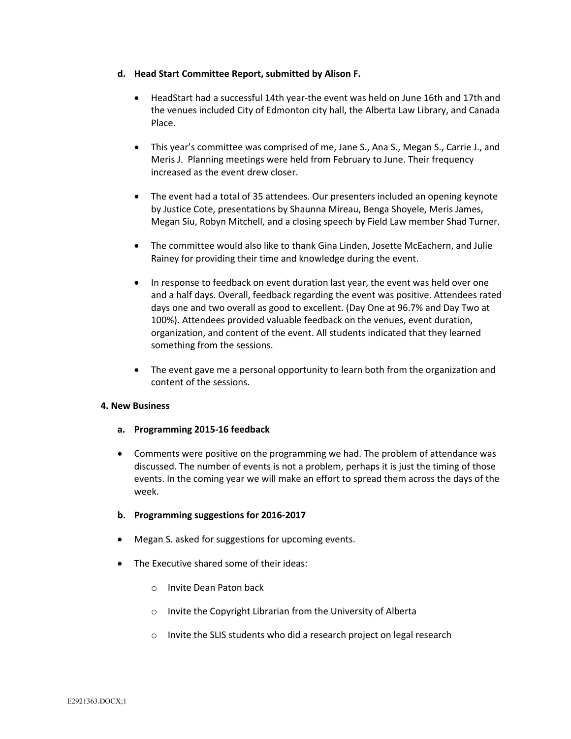### **d. Head Start Committee Report, submitted by Alison F.**

- HeadStart had a successful 14th year-the event was held on June 16th and 17th and the venues included City of Edmonton city hall, the Alberta Law Library, and Canada Place.
- This year's committee was comprised of me, Jane S., Ana S., Megan S., Carrie J., and Meris J. Planning meetings were held from February to June. Their frequency increased as the event drew closer.
- The event had a total of 35 attendees. Our presenters included an opening keynote by Justice Cote, presentations by Shaunna Mireau, Benga Shoyele, Meris James, Megan Siu, Robyn Mitchell, and a closing speech by Field Law member Shad Turner.
- The committee would also like to thank Gina Linden, Josette McEachern, and Julie Rainey for providing their time and knowledge during the event.
- In response to feedback on event duration last year, the event was held over one and a half days. Overall, feedback regarding the event was positive. Attendees rated days one and two overall as good to excellent. (Day One at 96.7% and Day Two at 100%). Attendees provided valuable feedback on the venues, event duration, organization, and content of the event. All students indicated that they learned something from the sessions.
- The event gave me a personal opportunity to learn both from the organization and content of the sessions.

#### **4. New Business**

- **a. Programming 2015-16 feedback**
- Comments were positive on the programming we had. The problem of attendance was discussed. The number of events is not a problem, perhaps it is just the timing of those events. In the coming year we will make an effort to spread them across the days of the week.

# **b. Programming suggestions for 2016-2017**

- Megan S. asked for suggestions for upcoming events.
- The Executive shared some of their ideas:
	- o Invite Dean Paton back
	- o Invite the Copyright Librarian from the University of Alberta
	- o Invite the SLIS students who did a research project on legal research